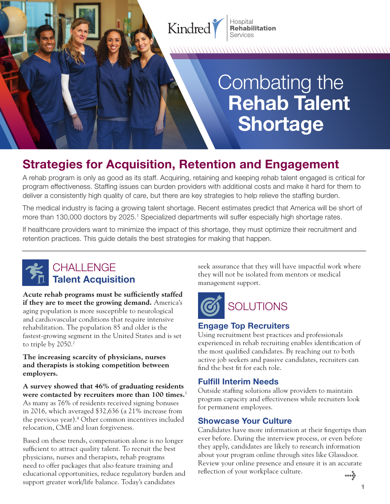

Services

# Combating the **Rehab Talent Shortage**

## **Strategies for Acquisition, Retention and Engagement**

A rehab program is only as good as its staff. Acquiring, retaining and keeping rehab talent engaged is critical for program effectiveness. Staffng issues can burden providers with additional costs and make it hard for them to deliver a consistently high quality of care, but there are key strategies to help relieve the staffng burden.

The medical industry is facing a growing talent shortage. Recent estimates predict that America will be short of more than 130,000 doctors by 2025.<sup>1</sup> Specialized departments will suffer especially high shortage rates.

If healthcare providers want to minimize the impact of this shortage, they must optimize their recruitment and retention practices. This guide details the best strategies for making that happen.



**Acute rehab programs must be suffciently staffed if they are to meet the growing demand.** America's aging population is more susceptible to neurological and cardiovascular conditions that require intensive rehabilitation. The population 85 and older is the fastest-growing segment in the United States and is set to triple by 2050.<sup>2</sup>

**The increasing scarcity of physicians, nurses and therapists is stoking competition between employers.** 

**A survey showed that 46% of graduating residents were contacted by recruiters more than 100 times.**<sup>3</sup> As many as 76% of residents received signing bonuses in 2016, which averaged \$32,636 (a 21% increase from the previous year).4 Other common incentives included relocation, CME and loan forgiveness.

Based on these trends, compensation alone is no longer suffcient to attract quality talent. To recruit the best physicians, nurses and therapists, rehab programs need to offer packages that also feature training and educational opportunities, reduce regulatory burden and support greater work/life balance. Today's candidates

CHALLENGE seek assurance that they will have impactful work where Talent Acquisition **Talent Acquisition** they will not be isolated from mentors or medical management support.



#### **Engage Top Recruiters**

Using recruitment best practices and professionals experienced in rehab recruiting enables identifcation of the most qualifed candidates. By reaching out to both active job seekers and passive candidates, recruiters can fnd the best ft for each role.

#### **Fulfill Interim Needs**

Outside staffng solutions allow providers to maintain program capacity and effectiveness while recruiters look for permanent employees.

#### **Showcase Your Culture**

Candidates have more information at their fngertips than ever before. During the interview process, or even before they apply, candidates are likely to research information about your program online through sites like Glassdoor. Review your online presence and ensure it is an accurate refection of your workplace culture. *>*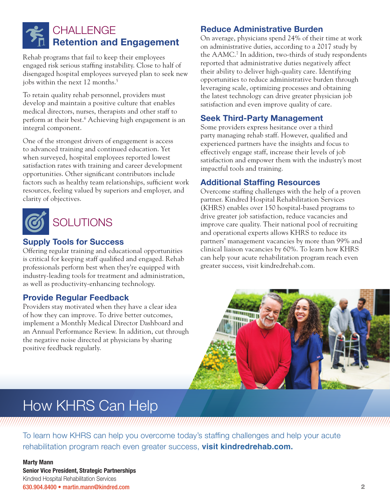### CHALL FNGF **Retention and Engagement**

Rehab programs that fail to keep their employees engaged risk serious staffng instability. Close to half of disengaged hospital employees surveyed plan to seek new jobs within the next 12 months.<sup>5</sup>

To retain quality rehab personnel, providers must develop and maintain a positive culture that enables medical directors, nurses, therapists and other staff to perform at their best.6 Achieving high engagement is an integral component.

One of the strongest drivers of engagement is access to advanced training and continued education. Yet when surveyed, hospital employees reported lowest satisfaction rates with training and career development opportunities. Other signifcant contributors include factors such as healthy team relationships, sufficient work resources, feeling valued by superiors and employer, and clarity of objectives.



#### **Supply Tools for Success**

Offering regular training and educational opportunities is critical for keeping staff qualifed and engaged. Rehab professionals perform best when they're equipped with industry-leading tools for treatment and administration, as well as productivity-enhancing technology.

#### **Provide Regular Feedback**

Providers stay motivated when they have a clear idea of how they can improve. To drive better outcomes, implement a Monthly Medical Director Dashboard and an Annual Performance Review. In addition, cut through the negative noise directed at physicians by sharing positive feedback regularly.

#### **Reduce Administrative Burden**

On average, physicians spend 24% of their time at work on administrative duties, according to a 2017 study by the AAMC.7 In addition, two-thirds of study respondents reported that administrative duties negatively affect their ability to deliver high-quality care. Identifying opportunities to reduce administrative burden through leveraging scale, optimizing processes and obtaining the latest technology can drive greater physician job satisfaction and even improve quality of care.

#### **Seek Third-Party Management**

Some providers express hesitance over a third party managing rehab staff. However, qualifed and experienced partners have the insights and focus to effectively engage staff, increase their levels of job satisfaction and empower them with the industry's most impactful tools and training.

#### **Additional Staffing Resources**

Overcome staffng challenges with the help of a proven partner. Kindred Hospital Rehabilitation Services (KHRS) enables over 150 hospital-based programs to drive greater job satisfaction, reduce vacancies and improve care quality. Their national pool of recruiting and operational experts allows KHRS to reduce its partners' management vacancies by more than 99% and clinical liaison vacancies by 60%. To learn how KHRS can help your acute rehabilitation program reach even greater success, visit [kindredrehab.com.](https://kindredrehab.com)



## How KHRS Can Help

To learn how KHRS can help you overcome today's staffng challenges and help your acute rehabilitation program reach even greater success, **visit [kindredrehab.com](https://kindredrehab.com).** 

a mana ang pangangang mana ang pag-ang pangangang mana ang pag-ang pag-ang pag-ang pag-ang pag-ang pag-ang pag

#### **Marty Mann Senior Vice President, Strategic Partnerships**  Kindred Hospital Rehabilitation Services 630.904.8400 • [martin.mann@kindred.com](mailto:martin.mann@kindred.com) 2